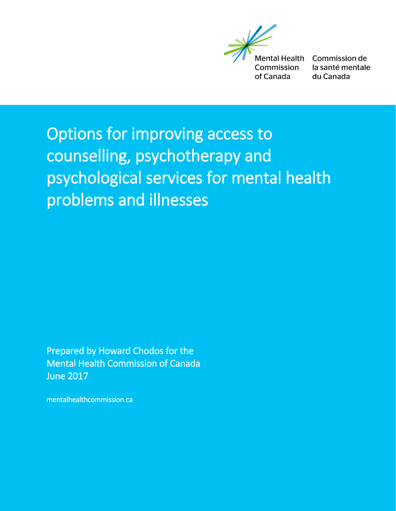**Mental Health** Commission of Canada

Commission de la santé mentale du Canada

# Options for improving access to counselling, psychotherapy and psychological services for mental health problems and illnesses

Prepared by Howard Chodos for the Mental Health Commission of Canada June 2017

mentalhealthcommission.ca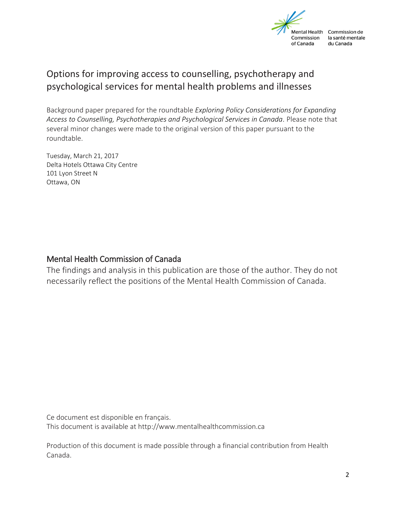

#### Options for improving access to counselling, psychotherapy and psychological services for mental health problems and illnesses

Background paper prepared for the roundtable *Exploring Policy Considerations for Expanding*  Access to Counselling, Psychotherapies and Psychological Services in Canada. Please note that several minor changes were made to the original version of this paper pursuant to the roundtable.

Tuesday, March 21, 2017 Delta Hotels Ottawa City Centre 101 Lyon Street N Ottawa, ON

#### Mental Health Commission of Canada

The findings and analysis in this publication are those of the author. They do not necessarily reflect the positions of the Mental Health Commission of Canada.

Ce document est disponible en français.

This document is available at http://www.mentalhealthcommission.ca

Production of this document is made possible through a financial contribution from Health Canada.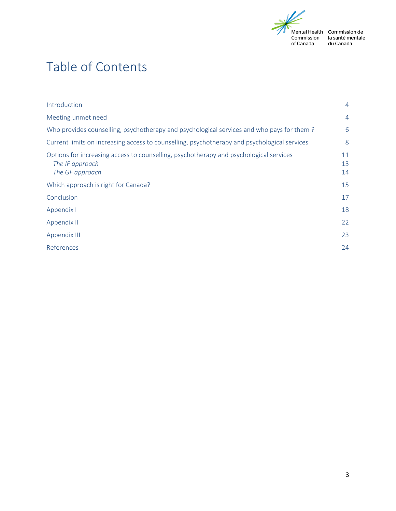

la santé mentale<br>du Canada

# Table of Contents

| Introduction                                                                                                                 | $\overline{4}$ |
|------------------------------------------------------------------------------------------------------------------------------|----------------|
| Meeting unmet need                                                                                                           | $\overline{4}$ |
| Who provides counselling, psychotherapy and psychological services and who pays for them?                                    | 6              |
| Current limits on increasing access to counselling, psychotherapy and psychological services                                 | 8              |
| Options for increasing access to counselling, psychotherapy and psychological services<br>The IF approach<br>The GF approach | 11<br>13<br>14 |
| Which approach is right for Canada?                                                                                          | 15             |
| Conclusion                                                                                                                   | 17             |
| Appendix I                                                                                                                   | 18             |
| Appendix II                                                                                                                  | 22             |
| Appendix III                                                                                                                 | 23             |
| References                                                                                                                   | 24             |
|                                                                                                                              |                |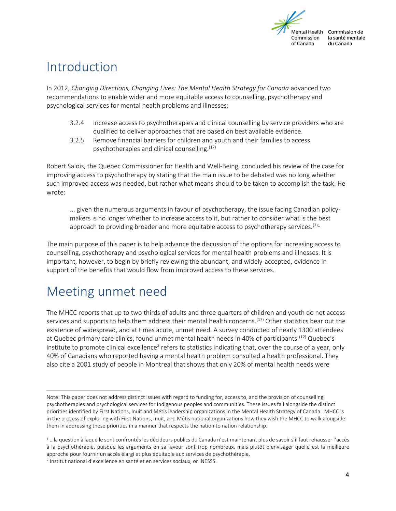

### <span id="page-3-0"></span>Introduction

In 2012, *Changing Directions, Changing Lives: The Mental Health Strategy for Canada* advanced two recommendations to enable wider and more equitable access to counselling, psychotherapy and psychological services for mental health problems and illnesses:

- 3.2.4 Increase access to psychotherapies and clinical counselling by service providers who are qualified to deliver approaches that are based on best available evidence.
- 3.2.5 Remove financial barriers for children and youth and their families to access psychotherapies and clinical counselling.<sup>(17)</sup>

Robert Salois, the Quebec Commissioner for Health and Well-Being, concluded his review of the case for improving access to psychotherapy by stating that the main issue to be debated was no long whether such improved access was needed, but rather what means should to be taken to accomplish the task. He wrote:

... given the numerous arguments in favour of psychotherapy, the issue facing Canadian policymakers is no longer whether to increase access to it, but rather to consider what is the best approach to providing broader and more equitable access to psychotherapy services.<sup>(7)1</sup>

The main purpose of this paper is to help advance the discussion of the options for increasing access to counselling, psychotherapy and psychological services for mental health problems and illnesses. It is important, however, to begin by briefly reviewing the abundant, and widely-accepted, evidence in support of the benefits that would flow from improved access to these services.

### <span id="page-3-1"></span>Meeting unmet need

The MHCC reports that up to two thirds of adults and three quarters of children and youth do not access services and supports to help them address their mental health concerns.<sup>(17)</sup> Other statistics bear out the existence of widespread, and at times acute, unmet need. A survey conducted of nearly 1300 attendees at Quebec primary care clinics, found unmet mental health needs in 40% of participants.<sup>(12)</sup> Quebec's institute to promote clinical excellence<sup>2</sup> refers to statistics indicating that, over the course of a year, only 40% of Canadians who reported having a mental health problem consulted a health professional. They also cite a 2001 study of people in Montreal that shows that only 20% of mental health needs were

 $\overline{\phantom{a}}$ Note: This paper does not address distinct issues with regard to funding for, access to, and the provision of counselling, psychotherapies and psychological services for Indigenous peoples and communities. These issues fall alongside the distinct priorities identified by First Nations, Inuit and Métis leadership organizations in the Mental Health Strategy of Canada. MHCC is in the process of exploring with First Nations, Inuit, and Métis national organizations how they wish the MHCC to walk alongside them in addressing these priorities in a manner that respects the nation to nation relationship.

<sup>1</sup> …la question à laquelle sont confrontés les décideurs publics du Canada n'est maintenant plus de savoir s'il faut rehausser l'accès à la psychothérapie, puisque les arguments en sa faveur sont trop nombreux, mais plutôt d'envisager quelle est la meilleure approche pour fournir un accès élargi et plus équitable aux services de psychothérapie.

<sup>2</sup> Institut national d'excellence en santé et en services sociaux, or INESSS.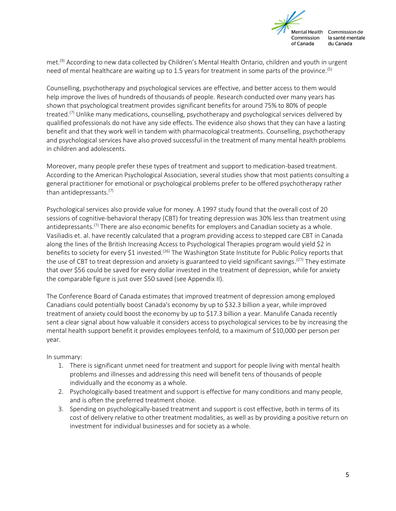

met.<sup>(9)</sup> According to new data collected by Children's Mental Health Ontario, children and youth in urgent need of mental healthcare are waiting up to 1.5 years for treatment in some parts of the province.(5)

Counselling, psychotherapy and psychological services are effective, and better access to them would help improve the lives of hundreds of thousands of people. Research conducted over many years has shown that psychological treatment provides significant benefits for around 75% to 80% of people treated.<sup>(7)</sup> Unlike many medications, counselling, psychotherapy and psychological services delivered by qualified professionals do not have any side effects. The evidence also shows that they can have a lasting benefit and that they work well in tandem with pharmacological treatments. Counselling, psychotherapy and psychological services have also proved successful in the treatment of many mental health problems in children and adolescents.

Moreover, many people prefer these types of treatment and support to medication-based treatment. According to the American Psychological Association, several studies show that most patients consulting a general practitioner for emotional or psychological problems prefer to be offered psychotherapy rather than antidepressants.<sup>(7)</sup>

Psychological services also provide value for money. A 1997 study found that the overall cost of 20 sessions of cognitive-behavioral therapy (CBT) for treating depression was 30% less than treatment using antidepressants.<sup>(7)</sup> There are also economic benefits for employers and Canadian society as a whole. Vasiliadis et. al. have recently calculated that a program providing access to stepped care CBT in Canada along the lines of the British Increasing Access to Psychological Therapies program would yield \$2 in benefits to society for every \$1 invested.<sup>(26)</sup> The Washington State Institute for Public Policy reports that the use of CBT to treat depression and anxiety is guaranteed to yield significant savings.<sup>(27)</sup> They estimate that over \$56 could be saved for every dollar invested in the treatment of depression, while for anxiety the comparable figure is just over \$50 saved (see Appendix II).

The Conference Board of Canada estimates that improved treatment of depression among employed Canadians could potentially boost Canada's economy by up to \$32.3 billion a year, while improved treatment of anxiety could boost the economy by up to \$17.3 billion a year. Manulife Canada recently sent a clear signal about how valuable it considers access to psychological services to be by increasing the mental health support benefit it provides employees tenfold, to a maximum of \$10,000 per person per year.

In summary:

- 1. There is significant unmet need for treatment and support for people living with mental health problems and illnesses and addressing this need will benefit tens of thousands of people individually and the economy as a whole.
- 2. Psychologically-based treatment and support is effective for many conditions and many people, and is often the preferred treatment choice.
- 3. Spending on psychologically-based treatment and support is cost effective, both in terms of its cost of delivery relative to other treatment modalities, as well as by providing a positive return on investment for individual businesses and for society as a whole.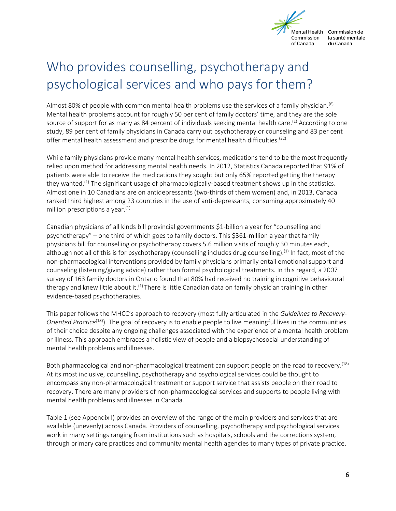

# <span id="page-5-0"></span>Who provides counselling, psychotherapy and psychological services and who pays for them?

Almost 80% of people with common mental health problems use the services of a family physician.<sup>(6)</sup> Mental health problems account for roughly 50 per cent of family doctors' time, and they are the sole source of support for as many as 84 percent of individuals seeking mental health care.<sup>(1)</sup> According to one study, 89 per cent of family physicians in Canada carry out psychotherapy or counseling and 83 per cent offer mental health assessment and prescribe drugs for mental health difficulties.<sup>(22)</sup>

While family physicians provide many mental health services, medications tend to be the most frequently relied upon method for addressing mental health needs. In 2012, Statistics Canada reported that 91% of patients were able to receive the medications they sought but only 65% reported getting the therapy they wanted.(1) The significant usage of pharmacologically-based treatment shows up in the statistics. Almost one in 10 Canadians are on antidepressants (two-thirds of them women) and, in 2013, Canada ranked third highest among 23 countries in the use of anti-depressants, consuming approximately 40 million prescriptions a year. $(1)$ 

Canadian physicians of all kinds bill provincial governments \$1-billion a year for "counselling and psychotherapy" – one third of which goes to family doctors. This \$361-million a year that family physicians bill for counselling or psychotherapy covers 5.6 million visits of roughly 30 minutes each, although not all of this is for psychotherapy (counselling includes drug counselling).<sup>(1)</sup> In fact, most of the non-pharmacological interventions provided by family physicians primarily entail emotional support and counseling (listening/giving advice) rather than formal psychological treatments. In this regard, a 2007 survey of 163 family doctors in Ontario found that 80% had received no training in cognitive behavioural therapy and knew little about it.<sup>(1)</sup> There is little Canadian data on family physician training in other evidence-based psychotherapies.

This paper follows the MHCC's approach to recovery (most fully articulated in the *Guidelines to Recovery-Oriented Practice*(18)). The goal of recovery is to enable people to live meaningful lives in the communities of their choice despite any ongoing challenges associated with the experience of a mental health problem or illness. This approach embraces a holistic view of people and a biopsychosocial understanding of mental health problems and illnesses.

Both pharmacological and non-pharmacological treatment can support people on the road to recovery.(18) At its most inclusive, counselling, psychotherapy and psychological services could be thought to encompass any non-pharmacological treatment or support service that assists people on their road to recovery. There are many providers of non-pharmacological services and supports to people living with mental health problems and illnesses in Canada.

Table 1 (see Appendix I) provides an overview of the range of the main providers and services that are available (unevenly) across Canada. Providers of counselling, psychotherapy and psychological services work in many settings ranging from institutions such as hospitals, schools and the corrections system, through primary care practices and community mental health agencies to many types of private practice.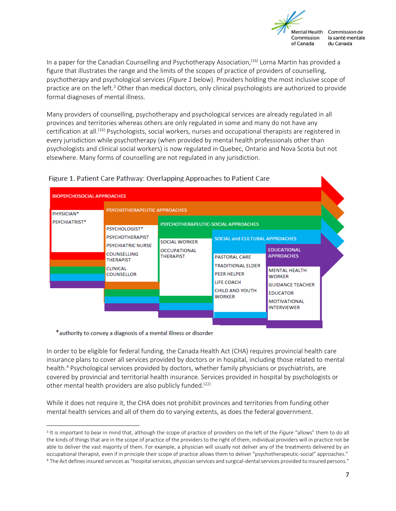

In a paper for the Canadian Counselling and Psychotherapy Association,<sup>(16)</sup> Lorna Martin has provided a figure that illustrates the range and the limits of the scopes of practice of providers of counselling, psychotherapy and psychological services (*Figure 1* below). Providers holding the most inclusive scope of practice are on the left.<sup>3</sup> Other than medical doctors, only clinical psychologists are authorized to provide formal diagnoses of mental illness.

Many providers of counselling, psychotherapy and psychological services are already regulated in all provinces and territories whereas others are only regulated in some and many do not have any certification at all.(16) Psychologists, social workers, nurses and occupational therapists are registered in every jurisdiction while psychotherapy (when provided by mental health professionals other than psychologists and clinical social workers) is now regulated in Quebec, Ontario and Nova Scotia but not elsewhere. Many forms of counselling are not regulated in any jurisdiction.

| <b>BIOPSYCHOSOCIAL APPROACHES</b> |                                                                                                                                      |                                                                 |                                                                                                                                                                                 |                                                                                                                                                                             |  |
|-----------------------------------|--------------------------------------------------------------------------------------------------------------------------------------|-----------------------------------------------------------------|---------------------------------------------------------------------------------------------------------------------------------------------------------------------------------|-----------------------------------------------------------------------------------------------------------------------------------------------------------------------------|--|
| PHYSICIAN*<br>PSYCHIATRIST*       | PSYCHOTHERAPEUTIC APPROACHES<br>PSYCHOLOGIST*                                                                                        |                                                                 |                                                                                                                                                                                 |                                                                                                                                                                             |  |
|                                   | <b>PSYCHOTHERAPIST</b><br><b>PSYCHIATRIC NURSE</b><br><b>COUNSELLING</b><br><b>THERAPIST</b><br><b>CLINICAL</b><br><b>COUNSELLOR</b> | <b>SOCIAL WORKER</b><br><b>OCCUPATIONAL</b><br><b>THERAPIST</b> | <b>SOCIAL and CULTURAL APPROACHES</b><br><b>PASTORAL CARE</b><br><b>TRADITIONAL ELDER</b><br><b>PEER HELPER</b><br><b>LIFE COACH</b><br><b>CHILD AND YOUTH</b><br><b>WORKER</b> | <b>EDUCATIONAL</b><br><b>APPROACHES</b><br><b>MENTAL HEALTH</b><br><b>WORKER</b><br><b>GUIDANCE TEACHER</b><br><b>EDUCATOR</b><br><b>MOTIVATIONAL</b><br><b>INTERVIEWER</b> |  |

#### Figure 1. Patient Care Pathway: Overlapping Approaches to Patient Care

\*authority to convey a diagnosis of a mental illness or disorder

 $\overline{\phantom{a}}$ 

In order to be eligible for federal funding, the Canada Health Act (CHA) requires provincial health care insurance plans to cover all services provided by doctors or in hospital, including those related to mental health.<sup>4</sup> Psychological services provided by doctors, whether family physicians or psychiatrists, are covered by provincial and territorial health insurance. Services provided in hospital by psychologists or other mental health providers are also publicly funded.<sup>(22)</sup>

While it does not require it, the CHA does not prohibit provinces and territories from funding other mental health services and all of them do to varying extents, as does the federal government.

<sup>3</sup> It is important to bear in mind that, although the scope of practice of providers on the left of the *Figure* "allows" them to do all the kinds of things that are in the scope of practice of the providers to the right of them, individual providers will in practice not be able to deliver the vast majority of them. For example, a physician will usually not deliver any of the treatments delivered by an occupational therapist, even if in principle their scope of practice allows them to deliver "psychotherapeutic-social" approaches."

<sup>4</sup> The Act defines insured services as "hospital services, physician services and surgical-dental services provided to insured persons."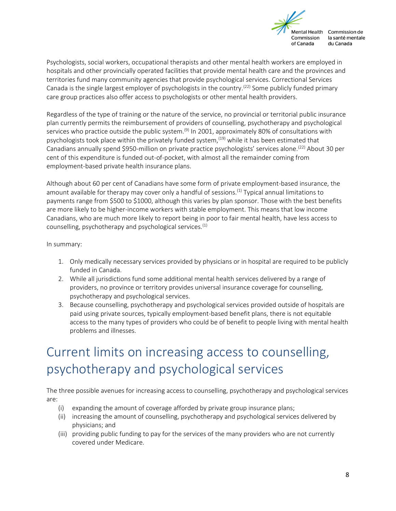

Psychologists, social workers, occupational therapists and other mental health workers are employed in hospitals and other provincially operated facilities that provide mental health care and the provinces and territories fund many community agencies that provide psychological services. Correctional Services Canada is the single largest employer of psychologists in the country.<sup>(22)</sup> Some publicly funded primary care group practices also offer access to psychologists or other mental health providers.

Regardless of the type of training or the nature of the service, no provincial or territorial public insurance plan currently permits the reimbursement of providers of counselling, psychotherapy and psychological services who practice outside the public system.<sup>(9)</sup> In 2001, approximately 80% of consultations with psychologists took place within the privately funded system,<sup>(19)</sup> while it has been estimated that Canadians annually spend \$950-million on private practice psychologists' services alone.<sup>(22)</sup> About 30 per cent of this expenditure is funded out-of-pocket, with almost all the remainder coming from employment-based private health insurance plans.

Although about 60 per cent of Canadians have some form of private employment-based insurance, the amount available for therapy may cover only a handful of sessions.<sup>(1)</sup> Typical annual limitations to payments range from \$500 to \$1000, although this varies by plan sponsor. Those with the best benefits are more likely to be higher-income workers with stable employment. This means that low income Canadians, who are much more likely to report being in poor to fair mental health, have less access to counselling, psychotherapy and psychological services.(1)

In summary:

- 1. Only medically necessary services provided by physicians or in hospital are required to be publicly funded in Canada.
- 2. While all jurisdictions fund some additional mental health services delivered by a range of providers, no province or territory provides universal insurance coverage for counselling, psychotherapy and psychological services.
- 3. Because counselling, psychotherapy and psychological services provided outside of hospitals are paid using private sources, typically employment-based benefit plans, there is not equitable access to the many types of providers who could be of benefit to people living with mental health problems and illnesses.

# <span id="page-7-0"></span>Current limits on increasing access to counselling, psychotherapy and psychological services

The three possible avenues for increasing access to counselling, psychotherapy and psychological services are:

- (i) expanding the amount of coverage afforded by private group insurance plans;
- (ii) increasing the amount of counselling, psychotherapy and psychological services delivered by physicians; and
- (iii) providing public funding to pay for the services of the many providers who are not currently covered under Medicare.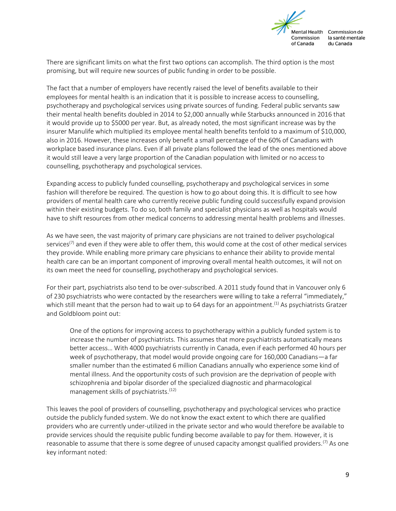

There are significant limits on what the first two options can accomplish. The third option is the most promising, but will require new sources of public funding in order to be possible.

The fact that a number of employers have recently raised the level of benefits available to their employees for mental health is an indication that it is possible to increase access to counselling, psychotherapy and psychological services using private sources of funding. Federal public servants saw their mental health benefits doubled in 2014 to \$2,000 annually while Starbucks announced in 2016 that it would provide up to \$5000 per year. But, as already noted, the most significant increase was by the insurer Manulife which multiplied its employee mental health benefits tenfold to a maximum of \$10,000, also in 2016. However, these increases only benefit a small percentage of the 60% of Canadians with workplace based insurance plans. Even if all private plans followed the lead of the ones mentioned above it would still leave a very large proportion of the Canadian population with limited or no access to counselling, psychotherapy and psychological services.

Expanding access to publicly funded counselling, psychotherapy and psychological services in some fashion will therefore be required. The question is how to go about doing this. It is difficult to see how providers of mental health care who currently receive public funding could successfully expand provision within their existing budgets. To do so, both family and specialist physicians as well as hospitals would have to shift resources from other medical concerns to addressing mental health problems and illnesses.

As we have seen, the vast majority of primary care physicians are not trained to deliver psychological services<sup>(7)</sup> and even if they were able to offer them, this would come at the cost of other medical services they provide. While enabling more primary care physicians to enhance their ability to provide mental health care can be an important component of improving overall mental health outcomes, it will not on its own meet the need for counselling, psychotherapy and psychological services.

For their part, psychiatrists also tend to be over-subscribed. A 2011 study found that in Vancouver only 6 of 230 psychiatrists who were contacted by the researchers were willing to take a referral "immediately," which still meant that the person had to wait up to 64 days for an appointment.<sup>(1)</sup> As psychiatrists Gratzer and Goldbloom point out:

One of the options for improving access to psychotherapy within a publicly funded system is to increase the number of psychiatrists. This assumes that more psychiatrists automatically means better access… With 4000 psychiatrists currently in Canada, even if each performed 40 hours per week of psychotherapy, that model would provide ongoing care for 160,000 Canadians—a far smaller number than the estimated 6 million Canadians annually who experience some kind of mental illness. And the opportunity costs of such provision are the deprivation of people with schizophrenia and bipolar disorder of the specialized diagnostic and pharmacological management skills of psychiatrists.<sup>(12)</sup>

This leaves the pool of providers of counselling, psychotherapy and psychological services who practice outside the publicly funded system. We do not know the exact extent to which there are qualified providers who are currently under-utilized in the private sector and who would therefore be available to provide services should the requisite public funding become available to pay for them. However, it is reasonable to assume that there is some degree of unused capacity amongst qualified providers.<sup>(7)</sup> As one key informant noted: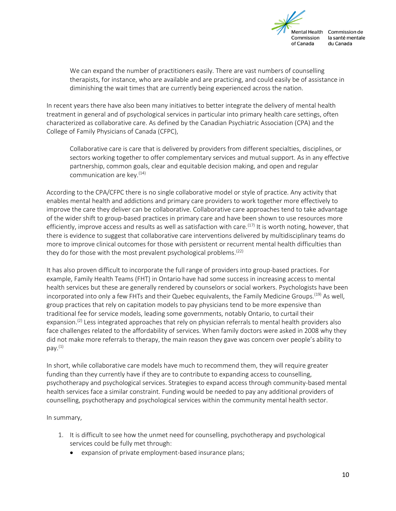

We can expand the number of practitioners easily. There are vast numbers of counselling therapists, for instance, who are available and are practicing, and could easily be of assistance in diminishing the wait times that are currently being experienced across the nation.

In recent years there have also been many initiatives to better integrate the delivery of mental health treatment in general and of psychological services in particular into primary health care settings, often characterized as collaborative care. As defined by the Canadian Psychiatric Association (CPA) and the College of Family Physicians of Canada (CFPC),

Collaborative care is care that is delivered by providers from different specialties, disciplines, or sectors working together to offer complementary services and mutual support. As in any effective partnership, common goals, clear and equitable decision making, and open and regular communication are key. $(14)$ 

According to the CPA/CFPC there is no single collaborative model or style of practice. Any activity that enables mental health and addictions and primary care providers to work together more effectively to improve the care they deliver can be collaborative. Collaborative care approaches tend to take advantage of the wider shift to group-based practices in primary care and have been shown to use resources more efficiently, improve access and results as well as satisfaction with care.<sup>(17)</sup> It is worth noting, however, that there is evidence to suggest that collaborative care interventions delivered by multidisciplinary teams do more to improve clinical outcomes for those with persistent or recurrent mental health difficulties than they do for those with the most prevalent psychological problems.<sup> $(22)$ </sup>

It has also proven difficult to incorporate the full range of providers into group-based practices. For example, Family Health Teams (FHT) in Ontario have had some success in increasing access to mental health services but these are generally rendered by counselors or social workers. Psychologists have been incorporated into only a few FHTs and their Quebec equivalents, the Family Medicine Groups.<sup>(19)</sup> As well, group practices that rely on capitation models to pay physicians tend to be more expensive than traditional fee for service models, leading some governments, notably Ontario, to curtail their expansion.<sup>(2)</sup> Less integrated approaches that rely on physician referrals to mental health providers also face challenges related to the affordability of services. When family doctors were asked in 2008 why they did not make more referrals to therapy, the main reason they gave was concern over people's ability to pay. $(1)$ 

In short, while collaborative care models have much to recommend them, they will require greater funding than they currently have if they are to contribute to expanding access to counselling, psychotherapy and psychological services. Strategies to expand access through community-based mental health services face a similar constraint. Funding would be needed to pay any additional providers of counselling, psychotherapy and psychological services within the community mental health sector.

In summary,

- 1. It is difficult to see how the unmet need for counselling, psychotherapy and psychological services could be fully met through:
	- expansion of private employment-based insurance plans;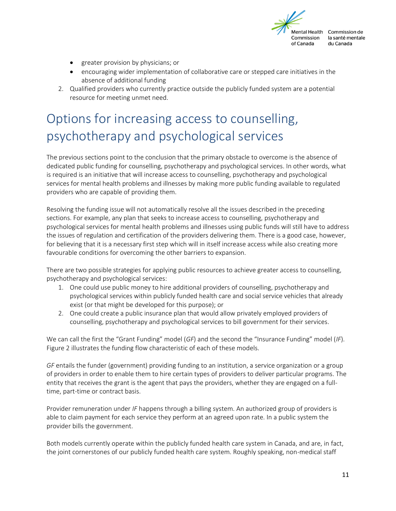

- greater provision by physicians; or
- encouraging wider implementation of collaborative care or stepped care initiatives in the absence of additional funding
- 2. Qualified providers who currently practice outside the publicly funded system are a potential resource for meeting unmet need.

### <span id="page-10-0"></span>Options for increasing access to counselling, psychotherapy and psychological services

The previous sections point to the conclusion that the primary obstacle to overcome is the absence of dedicated public funding for counselling, psychotherapy and psychological services. In other words, what is required is an initiative that will increase access to counselling, psychotherapy and psychological services for mental health problems and illnesses by making more public funding available to regulated providers who are capable of providing them.

Resolving the funding issue will not automatically resolve all the issues described in the preceding sections. For example, any plan that seeks to increase access to counselling, psychotherapy and psychological services for mental health problems and illnesses using public funds will still have to address the issues of regulation and certification of the providers delivering them. There is a good case, however, for believing that it is a necessary first step which will in itself increase access while also creating more favourable conditions for overcoming the other barriers to expansion.

There are two possible strategies for applying public resources to achieve greater access to counselling, psychotherapy and psychological services:

- 1. One could use public money to hire additional providers of counselling, psychotherapy and psychological services within publicly funded health care and social service vehicles that already exist (or that might be developed for this purpose); or
- 2. One could create a public insurance plan that would allow privately employed providers of counselling, psychotherapy and psychological services to bill government for their services.

We can call the first the "Grant Funding" model (*GF*) and the second the "Insurance Funding" model (*IF*). Figure 2 illustrates the funding flow characteristic of each of these models.

*GF* entails the funder (government) providing funding to an institution, a service organization or a group of providers in order to enable them to hire certain types of providers to deliver particular programs. The entity that receives the grant is the agent that pays the providers, whether they are engaged on a fulltime, part-time or contract basis.

Provider remuneration under *IF* happens through a billing system. An authorized group of providers is able to claim payment for each service they perform at an agreed upon rate. In a public system the provider bills the government.

Both models currently operate within the publicly funded health care system in Canada, and are, in fact, the joint cornerstones of our publicly funded health care system. Roughly speaking, non-medical staff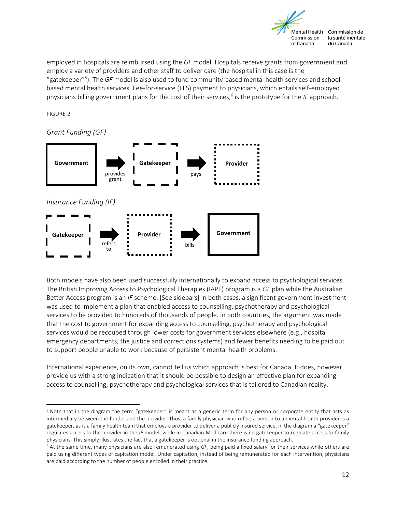

employed in hospitals are reimbursed using the *GF* model. Hospitals receive grants from government and employ a variety of providers and other staff to deliver care (the hospital in this case is the "gatekeeper"<sup>5</sup> ). The *GF* model is also used to fund community-based mental health services and schoolbased mental health services. Fee-for-service (FFS) payment to physicians, which entails self-employed physicians billing government plans for the cost of their services,<sup>6</sup> is the prototype for the IF approach.

FIGURE 2

 $\overline{a}$ 



Both models have also been used successfully internationally to expand access to psychological services. The British Improving Access to Psychological Therapies (IAPT) program is a *GF* plan while the Australian Better Access program is an *IF* scheme. [See sidebars] In both cases, a significant government investment was used to implement a plan that enabled access to counselling, psychotherapy and psychological services to be provided to hundreds of thousands of people. In both countries, the argument was made that the cost to government for expanding access to counselling, psychotherapy and psychological services would be recouped through lower costs for government services elsewhere (e.g., hospital emergency departments, the justice and corrections systems) and fewer benefits needing to be paid out to support people unable to work because of persistent mental health problems.

International experience, on its own, cannot tell us which approach is best for Canada. It does, however, provide us with a strong indication that it should be possible to design an effective plan for expanding access to counselling, psychotherapy and psychological services that is tailored to Canadian reality.

<sup>5</sup> Note that in the diagram the term "gatekeeper" is meant as a generic term for any person or corporate entity that acts as intermediary between the funder and the provider. Thus, a family physician who refers a person to a mental health provider is a gatekeeper, as is a family health team that employs a provider to deliver a publicly insured service. In the diagram a "gatekeeper" regulates access to the provider in the *IF* model, while in Canadian Medicare there is no gatekeeper to regulate access to family physicians. This simply illustrates the fact that a gatekeeper is optional in the insurance funding approach.

<sup>6</sup> At the same time, many physicians are also remunerated using *GF*, being paid a fixed salary for their services while others are paid using different types of capitation model. Under capitation, instead of being remunerated for each intervention, physicians are paid according to the number of people enrolled in their practice.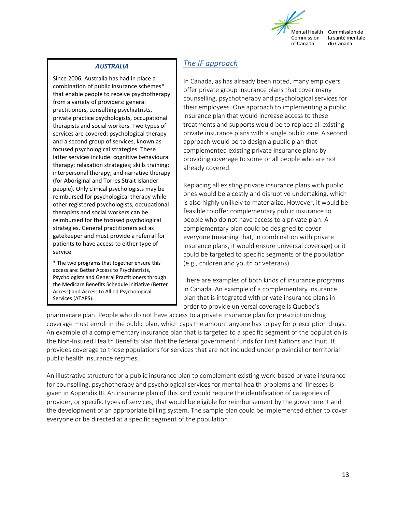

#### *AUSTRALIA*

Since 2006, Australia has had in place a combination of public insurance schemes\* that enable people to receive psychotherapy from a variety of providers: general practitioners, consulting psychiatrists, private practice psychologists, occupational therapists and social workers. Two types of services are covered: psychological therapy and a second group of services, known as focused psychological strategies. These latter services include: cognitive behavioural therapy; relaxation strategies; skills training; interpersonal therapy; and narrative therapy (for Aboriginal and Torres Strait Islander people). Only clinical psychologists may be reimbursed for psychological therapy while other registered psychologists, occupational therapists and social workers can be reimbursed for the focused psychological strategies. General practitioners act as gatekeeper and must provide a referral for patients to have access to either type of service.

\* The two programs that together ensure this access are: Better Access to Psychiatrists, Psychologists and General Practitioners through the Medicare Benefits Schedule initiative (Better Access) and Access to Allied Psychological Services (ATAPS).

#### <span id="page-12-0"></span>*The IF approach*

In Canada, as has already been noted, many employers offer private group insurance plans that cover many counselling, psychotherapy and psychological services for their employees. One approach to implementing a public insurance plan that would increase access to these treatments and supports would be to replace all existing private insurance plans with a single public one. A second approach would be to design a public plan that complemented existing private insurance plans by providing coverage to some or all people who are not already covered.

Replacing all existing private insurance plans with public ones would be a costly and disruptive undertaking, which is also highly unlikely to materialize. However, it would be feasible to offer complementary public insurance to people who do not have access to a private plan. A complementary plan could be designed to cover everyone (meaning that, in combination with private insurance plans, it would ensure universal coverage) or it could be targeted to specific segments of the population (e.g., children and youth or veterans).

There are examples of both kinds of insurance programs in Canada. An example of a complementary insurance plan that is integrated with private insurance plans in order to provide universal coverage is Quebec's

pharmacare plan. People who do not have access to a private insurance plan for prescription drug coverage must enroll in the public plan, which caps the amount anyone has to pay for prescription drugs. An example of a complementary insurance plan that is targeted to a specific segment of the population is the Non-Insured Health Benefits plan that the federal government funds for First Nations and Inuit. It provides coverage to those populations for services that are not included under provincial or territorial public health insurance regimes.

An illustrative structure for a public insurance plan to complement existing work-based private insurance for counselling, psychotherapy and psychological services for mental health problems and illnesses is given in Appendix III. An insurance plan of this kind would require the identification of categories of provider, or specific types of services, that would be eligible for reimbursement by the government and the development of an appropriate billing system. The sample plan could be implemented either to cover everyone or be directed at a specific segment of the population.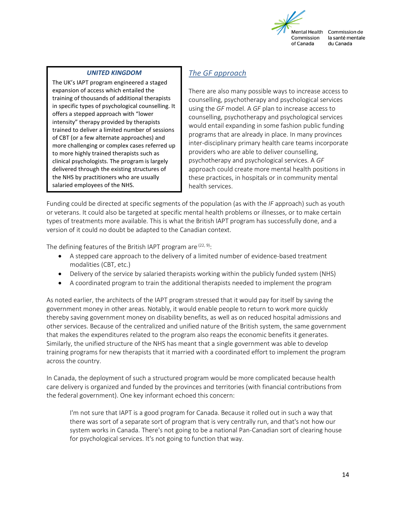

#### *UNITED KINGDOM*

The UK's IAPT program engineered a staged expansion of access which entailed the training of thousands of additional therapists in specific types of psychological counselling. It offers a stepped approach with "lower intensity" therapy provided by therapists trained to deliver a limited number of sessions of CBT (or a few alternate approaches) and more challenging or complex cases referred up to more highly trained therapists such as clinical psychologists. The program is largely delivered through the existing structures of the NHS by practitioners who are usually salaried employees of the NHS.

#### <span id="page-13-0"></span>*The GF approach*

There are also many possible ways to increase access to counselling, psychotherapy and psychological services using the *GF* model. A *GF* plan to increase access to counselling, psychotherapy and psychological services would entail expanding in some fashion public funding programs that are already in place. In many provinces inter-disciplinary primary health care teams incorporate providers who are able to deliver counselling, psychotherapy and psychological services. A *GF* approach could create more mental health positions in these practices, in hospitals or in community mental health services.

Funding could be directed at specific segments of the population (as with the *IF* approach) such as youth or veterans. It could also be targeted at specific mental health problems or illnesses, or to make certain types of treatments more available. This is what the British IAPT program has successfully done, and a version of it could no doubt be adapted to the Canadian context.

The defining features of the British IAPT program are  $(22, 9)$ :

- A stepped care approach to the delivery of a limited number of evidence-based treatment modalities (CBT, etc.)
- Delivery of the service by salaried therapists working within the publicly funded system (NHS)
- A coordinated program to train the additional therapists needed to implement the program

As noted earlier, the architects of the IAPT program stressed that it would pay for itself by saving the government money in other areas. Notably, it would enable people to return to work more quickly thereby saving government money on disability benefits, as well as on reduced hospital admissions and other services. Because of the centralized and unified nature of the British system, the same government that makes the expenditures related to the program also reaps the economic benefits it generates. Similarly, the unified structure of the NHS has meant that a single government was able to develop training programs for new therapists that it married with a coordinated effort to implement the program across the country.

In Canada, the deployment of such a structured program would be more complicated because health care delivery is organized and funded by the provinces and territories (with financial contributions from the federal government). One key informant echoed this concern:

I'm not sure that IAPT is a good program for Canada. Because it rolled out in such a way that there was sort of a separate sort of program that is very centrally run, and that's not how our system works in Canada. There's not going to be a national Pan-Canadian sort of clearing house for psychological services. It's not going to function that way.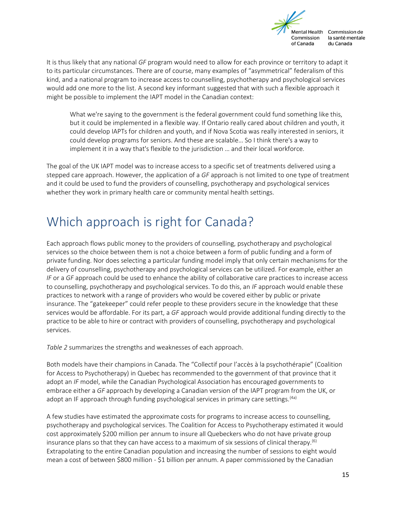

It is thus likely that any national *GF* program would need to allow for each province or territory to adapt it to its particular circumstances. There are of course, many examples of "asymmetrical" federalism of this kind, and a national program to increase access to counselling, psychotherapy and psychological services would add one more to the list. A second key informant suggested that with such a flexible approach it might be possible to implement the IAPT model in the Canadian context:

What we're saying to the government is the federal government could fund something like this, but it could be implemented in a flexible way. If Ontario really cared about children and youth, it could develop IAPTs for children and youth, and if Nova Scotia was really interested in seniors, it could develop programs for seniors. And these are scalable… So I think there's a way to implement it in a way that's flexible to the jurisdiction … and their local workforce.

The goal of the UK IAPT model was to increase access to a specific set of treatments delivered using a stepped care approach. However, the application of a *GF* approach is not limited to one type of treatment and it could be used to fund the providers of counselling, psychotherapy and psychological services whether they work in primary health care or community mental health settings.

### <span id="page-14-0"></span>Which approach is right for Canada?

Each approach flows public money to the providers of counselling, psychotherapy and psychological services so the choice between them is not a choice between a form of public funding and a form of private funding. Nor does selecting a particular funding model imply that only certain mechanisms for the delivery of counselling, psychotherapy and psychological services can be utilized. For example, either an *IF* or a *GF* approach could be used to enhance the ability of collaborative care practices to increase access to counselling, psychotherapy and psychological services. To do this, an *IF* approach would enable these practices to network with a range of providers who would be covered either by public or private insurance. The "gatekeeper" could refer people to these providers secure in the knowledge that these services would be affordable. For its part, a *GF* approach would provide additional funding directly to the practice to be able to hire or contract with providers of counselling, psychotherapy and psychological services.

*Table 2* summarizes the strengths and weaknesses of each approach.

Both models have their champions in Canada. The "Collectif pour l'accès à la psychothérapie" (Coalition for Access to Psychotherapy) in Quebec has recommended to the government of that province that it adopt an *IF* model, while the Canadian Psychological Association has encouraged governments to embrace either a *GF* approach by developing a Canadian version of the IAPT program from the UK, or adopt an IF approach through funding psychological services in primary care settings.<sup>(4a)</sup>

A few studies have estimated the approximate costs for programs to increase access to counselling, psychotherapy and psychological services. The Coalition for Access to Psychotherapy estimated it would cost approximately \$200 million per annum to insure all Quebeckers who do not have private group insurance plans so that they can have access to a maximum of six sessions of clinical therapy.<sup>(6)</sup> Extrapolating to the entire Canadian population and increasing the number of sessions to eight would mean a cost of between \$800 million - \$1 billion per annum. A paper commissioned by the Canadian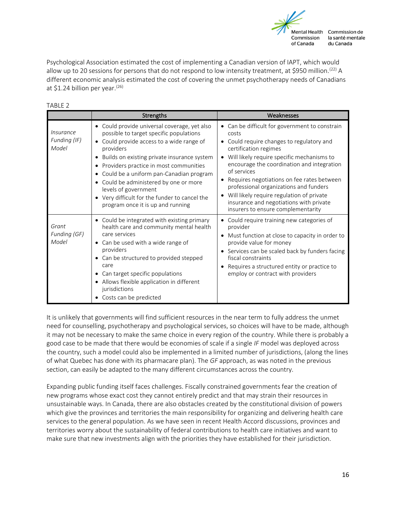

Psychological Association estimated the cost of implementing a Canadian version of IAPT, which would allow up to 20 sessions for persons that do not respond to low intensity treatment, at \$950 million.<sup>(22)</sup> A different economic analysis estimated the cost of covering the unmet psychotherapy needs of Canadians at \$1.24 billion per year.(26)

| TADLE Z                            |                                                                                                                                                                                                                                                                                                                                                                                                                                                                                            |                                                                                                                                                                                                                                                                                                                                                                                                                                                                                                     |
|------------------------------------|--------------------------------------------------------------------------------------------------------------------------------------------------------------------------------------------------------------------------------------------------------------------------------------------------------------------------------------------------------------------------------------------------------------------------------------------------------------------------------------------|-----------------------------------------------------------------------------------------------------------------------------------------------------------------------------------------------------------------------------------------------------------------------------------------------------------------------------------------------------------------------------------------------------------------------------------------------------------------------------------------------------|
|                                    | <b>Strengths</b>                                                                                                                                                                                                                                                                                                                                                                                                                                                                           | Weaknesses                                                                                                                                                                                                                                                                                                                                                                                                                                                                                          |
| Insurance<br>Funding (IF)<br>Model | • Could provide universal coverage, yet also<br>possible to target specific populations<br>Could provide access to a wide range of<br>$\bullet$<br>providers<br>Builds on existing private insurance system<br>$\bullet$<br>Providers practice in most communities<br>$\bullet$<br>Could be a uniform pan-Canadian program<br>٠<br>Could be administered by one or more<br>٠<br>levels of government<br>• Very difficult for the funder to cancel the<br>program once it is up and running | • Can be difficult for government to constrain<br>costs<br>Could require changes to regulatory and<br>$\bullet$<br>certification regimes<br>Will likely require specific mechanisms to<br>$\bullet$<br>encourage the coordination and integration<br>of services<br>Requires negotiations on fee rates between<br>professional organizations and funders<br>Will likely require regulation of private<br>$\bullet$<br>insurance and negotiations with private<br>insurers to ensure complementarity |
| Grant<br>Funding (GF)<br>Model     | • Could be integrated with existing primary<br>health care and community mental health<br>care services<br>Can be used with a wide range of<br>$\bullet$<br>providers<br>• Can be structured to provided stepped<br>care<br>• Can target specific populations<br>Allows flexible application in different<br>٠<br>jurisdictions<br>• Costs can be predicted                                                                                                                                | Could require training new categories of<br>provider<br>Must function at close to capacity in order to<br>$\bullet$<br>provide value for money<br>Services can be scaled back by funders facing<br>fiscal constraints<br>Requires a structured entity or practice to<br>employ or contract with providers                                                                                                                                                                                           |

It is unlikely that governments will find sufficient resources in the near term to fully address the unmet need for counselling, psychotherapy and psychological services, so choices will have to be made, although it may not be necessary to make the same choice in every region of the country. While there is probably a good case to be made that there would be economies of scale if a single *IF* model was deployed across the country, such a model could also be implemented in a limited number of jurisdictions, (along the lines of what Quebec has done with its pharmacare plan). The *GF* approach, as was noted in the previous section, can easily be adapted to the many different circumstances across the country.

Expanding public funding itself faces challenges. Fiscally constrained governments fear the creation of new programs whose exact cost they cannot entirely predict and that may strain their resources in unsustainable ways. In Canada, there are also obstacles created by the constitutional division of powers which give the provinces and territories the main responsibility for organizing and delivering health care services to the general population. As we have seen in recent Health Accord discussions, provinces and territories worry about the sustainability of federal contributions to health care initiatives and want to make sure that new investments align with the priorities they have established for their jurisdiction.

#### TABLE 2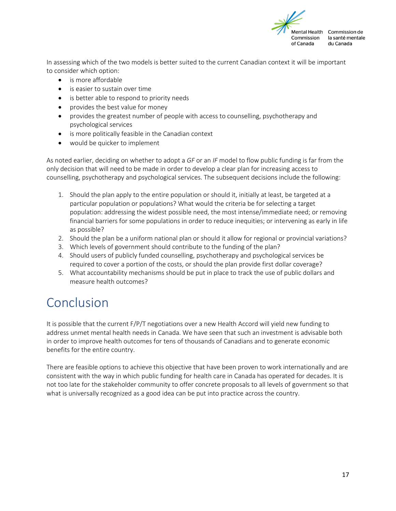

In assessing which of the two models is better suited to the current Canadian context it will be important to consider which option:

- is more affordable
- is easier to sustain over time
- is better able to respond to priority needs
- provides the best value for money
- provides the greatest number of people with access to counselling, psychotherapy and psychological services
- is more politically feasible in the Canadian context
- would be quicker to implement

As noted earlier, deciding on whether to adopt a *GF* or an *IF* model to flow public funding is far from the only decision that will need to be made in order to develop a clear plan for increasing access to counselling, psychotherapy and psychological services. The subsequent decisions include the following:

- 1. Should the plan apply to the entire population or should it, initially at least, be targeted at a particular population or populations? What would the criteria be for selecting a target population: addressing the widest possible need, the most intense/immediate need; or removing financial barriers for some populations in order to reduce inequities; or intervening as early in life as possible?
- 2. Should the plan be a uniform national plan or should it allow for regional or provincial variations?
- 3. Which levels of government should contribute to the funding of the plan?
- 4. Should users of publicly funded counselling, psychotherapy and psychological services be required to cover a portion of the costs, or should the plan provide first dollar coverage?
- 5. What accountability mechanisms should be put in place to track the use of public dollars and measure health outcomes?

### <span id="page-16-0"></span>Conclusion

It is possible that the current F/P/T negotiations over a new Health Accord will yield new funding to address unmet mental health needs in Canada. We have seen that such an investment is advisable both in order to improve health outcomes for tens of thousands of Canadians and to generate economic benefits for the entire country.

There are feasible options to achieve this objective that have been proven to work internationally and are consistent with the way in which public funding for health care in Canada has operated for decades. It is not too late for the stakeholder community to offer concrete proposals to all levels of government so that what is universally recognized as a good idea can be put into practice across the country.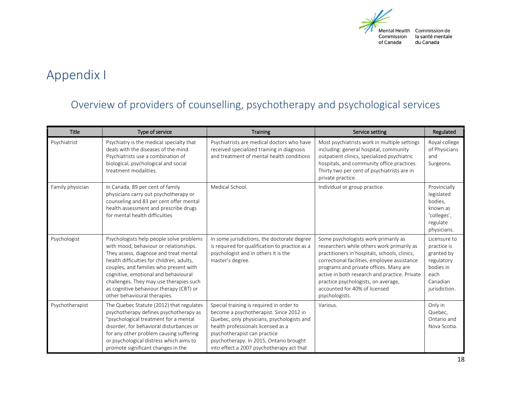

# Appendix I

#### Overview of providers of counselling, psychotherapy and psychological services

<span id="page-17-0"></span>

| <b>Title</b>     | Type of service                                                                                                                                                                                                                                                                                                                                                                   | <b>Training</b>                                                                                                                                                                                                                                                                                 | Service setting                                                                                                                                                                                                                                                                                                                                                          | Regulated                                                                                                 |
|------------------|-----------------------------------------------------------------------------------------------------------------------------------------------------------------------------------------------------------------------------------------------------------------------------------------------------------------------------------------------------------------------------------|-------------------------------------------------------------------------------------------------------------------------------------------------------------------------------------------------------------------------------------------------------------------------------------------------|--------------------------------------------------------------------------------------------------------------------------------------------------------------------------------------------------------------------------------------------------------------------------------------------------------------------------------------------------------------------------|-----------------------------------------------------------------------------------------------------------|
| Psychiatrist     | Psychiatry is the medical specialty that<br>deals with the diseases of the mind.<br>Psychiatrists use a combination of<br>biological, psychological and social<br>treatment modalities.                                                                                                                                                                                           | Psychiatrists are medical doctors who have<br>received specialized training in diagnosis<br>and treatment of mental health conditions                                                                                                                                                           | Most psychiatrists work in multiple settings<br>including: general hospital, community<br>outpatient clinics, specialized psychiatric<br>hospitals, and community office practices.<br>Thirty two per cent of psychiatrists are in<br>private practice.                                                                                                                  | Royal college<br>of Physicians<br>and<br>Surgeons.                                                        |
| Family physician | In Canada, 89 per cent of family<br>physicians carry out psychotherapy or<br>counseling and 83 per cent offer mental<br>health assessment and prescribe drugs<br>for mental health difficulties                                                                                                                                                                                   | Medical School.                                                                                                                                                                                                                                                                                 | Individual or group practice.                                                                                                                                                                                                                                                                                                                                            | Provincially<br>legislated<br>bodies,<br>known as<br>'colleges',<br>regulate<br>physicians.               |
| Psychologist     | Psychologists help people solve problems<br>with mood, behaviour or relationships.<br>They assess, diagnose and treat mental<br>health difficulties for children, adults,<br>couples, and families who present with<br>cognitive, emotional and behavioural<br>challenges. They may use therapies such<br>as cognitive behaviour therapy (CBT) or<br>other behavioural therapies. | In some jurisdictions, the doctorate degree<br>is required for qualification to practice as a<br>psychologist and in others it is the<br>master's degree.                                                                                                                                       | Some psychologists work primarily as<br>researchers while others work primarily as<br>practitioners in hospitals, schools, clinics,<br>correctional facilities, employee assistance<br>programs and private offices. Many are<br>active in both research and practice. Private<br>practice psychologists, on average,<br>accounted for 40% of licensed<br>psychologists. | Licensure to<br>practice is<br>granted by<br>regulatory<br>bodies in<br>each<br>Canadian<br>jurisdiction. |
| Psychotherapist  | The Quebec Statute (2012) that regulates<br>psychotherapy defines psychotherapy as<br>"psychological treatment for a mental<br>disorder, for behavioral disturbances or<br>for any other problem causing suffering<br>or psychological distress which aims to<br>promote significant changes in the                                                                               | Special training is required in order to<br>become a psychotherapist. Since 2012 in<br>Quebec, only physicians, psychologists and<br>health professionals licensed as a<br>psychotherapist can practice<br>psychotherapy. In 2015, Ontario brought<br>into effect a 2007 psychotherapy act that | Various.                                                                                                                                                                                                                                                                                                                                                                 | Only in<br>Quebec,<br>Ontario and<br>Nova Scotia.                                                         |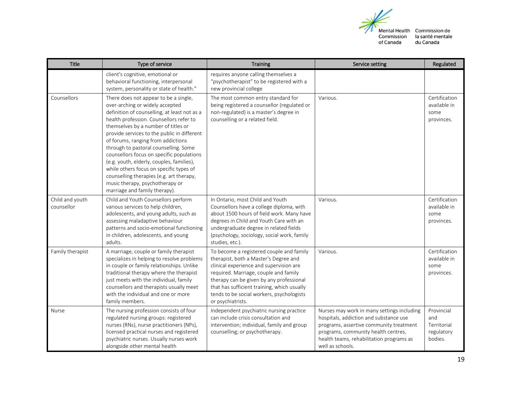

Mental Health Commission de la santé mentale du Canada

| <b>Title</b>                  | Type of service                                                                                                                                                                                                                                                                                                                                                                                                                                                                                                                                                                               | <b>Training</b>                                                                                                                                                                                                                                                                                                                    | Service setting                                                                                                                                                                                                                        | Regulated                                                 |
|-------------------------------|-----------------------------------------------------------------------------------------------------------------------------------------------------------------------------------------------------------------------------------------------------------------------------------------------------------------------------------------------------------------------------------------------------------------------------------------------------------------------------------------------------------------------------------------------------------------------------------------------|------------------------------------------------------------------------------------------------------------------------------------------------------------------------------------------------------------------------------------------------------------------------------------------------------------------------------------|----------------------------------------------------------------------------------------------------------------------------------------------------------------------------------------------------------------------------------------|-----------------------------------------------------------|
|                               | client's cognitive, emotional or<br>behavioral functioning, interpersonal<br>system, personality or state of health."                                                                                                                                                                                                                                                                                                                                                                                                                                                                         | requires anyone calling themselves a<br>"psychotherapist" to be registered with a<br>new provincial college                                                                                                                                                                                                                        |                                                                                                                                                                                                                                        |                                                           |
| Counsellors                   | There does not appear to be a single,<br>over-arching or widely accepted<br>definition of counselling, at least not as a<br>health profession. Counsellors refer to<br>themselves by a number of titles or<br>provide services to the public in different<br>of forums, ranging from addictions<br>through to pastoral counselling. Some<br>counsellors focus on specific populations<br>(e.g. youth, elderly, couples, families),<br>while others focus on specific types of<br>counselling therapies (e.g. art therapy,<br>music therapy, psychotherapy or<br>marriage and family therapy). | The most common entry standard for<br>being registered a counsellor (regulated or<br>non-regulated) is a master's degree in<br>counselling or a related field.                                                                                                                                                                     | Various.                                                                                                                                                                                                                               | Certification<br>available in<br>some<br>provinces.       |
| Child and youth<br>counsellor | Child and Youth Counsellors perform<br>various services to help children,<br>adolescents, and young adults, such as<br>assessing maladaptive behaviour<br>patterns and socio-emotional functioning<br>in children, adolescents, and young<br>adults.                                                                                                                                                                                                                                                                                                                                          | In Ontario, most Child and Youth<br>Counsellors have a college diploma, with<br>about 1500 hours of field work. Many have<br>degrees in Child and Youth Care with an<br>undergraduate degree in related fields<br>(psychology, sociology, social work, family<br>studies, etc.).                                                   | Various.                                                                                                                                                                                                                               | Certification<br>available in<br>some<br>provinces.       |
| Family therapist              | A marriage, couple or family therapist<br>specializes in helping to resolve problems<br>in couple or family relationships. Unlike<br>traditional therapy where the therapist<br>just meets with the individual, family<br>counsellors and therapists usually meet<br>with the individual and one or more<br>family members.                                                                                                                                                                                                                                                                   | To become a registered couple and family<br>therapist, both a Master's Degree and<br>clinical experience and supervision are<br>required. Marriage, couple and family<br>therapy can be given by any professional<br>that has sufficient training, which usually<br>tends to be social workers, psychologists<br>or psychiatrists. | Various.                                                                                                                                                                                                                               | Certification<br>available in<br>some<br>provinces.       |
| <b>Nurse</b>                  | The nursing profession consists of four<br>regulated nursing groups: registered<br>nurses (RNs), nurse practitioners (NPs),<br>licensed practical nurses and registered<br>psychiatric nurses. Usually nurses work<br>alongside other mental health                                                                                                                                                                                                                                                                                                                                           | Independent psychiatric nursing practice<br>can include crisis consultation and<br>intervention; individual, family and group<br>counselling; or psychotherapy.                                                                                                                                                                    | Nurses may work in many settings including<br>hospitals, addiction and substance use<br>programs, assertive community treatment<br>programs, community health centres,<br>health teams, rehabilitation programs as<br>well as schools. | Provincial<br>and<br>Territorial<br>regulatory<br>bodies. |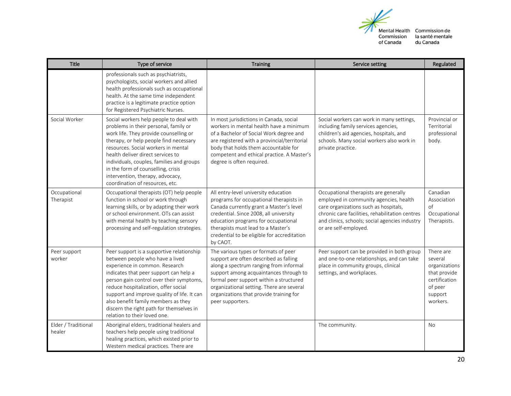

Mental Health Commission de la santé mentale du Canada

| <b>Title</b>                  | Type of service                                                                                                                                                                                                                                                                                                                                                                                                | <b>Training</b>                                                                                                                                                                                                                                                                                                           | Service setting                                                                                                                                                                                                                                        | Regulated                                                                                                |
|-------------------------------|----------------------------------------------------------------------------------------------------------------------------------------------------------------------------------------------------------------------------------------------------------------------------------------------------------------------------------------------------------------------------------------------------------------|---------------------------------------------------------------------------------------------------------------------------------------------------------------------------------------------------------------------------------------------------------------------------------------------------------------------------|--------------------------------------------------------------------------------------------------------------------------------------------------------------------------------------------------------------------------------------------------------|----------------------------------------------------------------------------------------------------------|
|                               | professionals such as psychiatrists,<br>psychologists, social workers and allied<br>health professionals such as occupational<br>health. At the same time independent<br>practice is a legitimate practice option<br>for Registered Psychiatric Nurses.                                                                                                                                                        |                                                                                                                                                                                                                                                                                                                           |                                                                                                                                                                                                                                                        |                                                                                                          |
| Social Worker                 | Social workers help people to deal with<br>problems in their personal, family or<br>work life. They provide counselling or<br>therapy, or help people find necessary<br>resources. Social workers in mental<br>health deliver direct services to<br>individuals, couples, families and groups<br>in the form of counselling, crisis<br>intervention, therapy, advocacy,<br>coordination of resources, etc.     | In most jurisdictions in Canada, social<br>workers in mental health have a minimum<br>of a Bachelor of Social Work degree and<br>are registered with a provincial/territorial<br>body that holds them accountable for<br>competent and ethical practice. A Master's<br>degree is often required.                          | Social workers can work in many settings,<br>including family services agencies,<br>children's aid agencies, hospitals, and<br>schools. Many social workers also work in<br>private practice.                                                          | Provincial or<br>Territorial<br>professional<br>body.                                                    |
| Occupational<br>Therapist     | Occupational therapists (OT) help people<br>function in school or work through<br>learning skills, or by adapting their work<br>or school environment. OTs can assist<br>with mental health by teaching sensory<br>processing and self-regulation strategies.                                                                                                                                                  | All entry-level university education<br>programs for occupational therapists in<br>Canada currently grant a Master's level<br>credential. Since 2008, all university<br>education programs for occupational<br>therapists must lead to a Master's<br>credential to be eligible for accreditation<br>by CAOT.              | Occupational therapists are generally<br>employed in community agencies, health<br>care organizations such as hospitals,<br>chronic care facilities, rehabilitation centres<br>and clinics, schools; social agencies industry<br>or are self-employed. | Canadian<br>Association<br>of<br>Occupational<br>Therapists.                                             |
| Peer support<br>worker        | Peer support is a supportive relationship<br>between people who have a lived<br>experience in common. Research<br>indicates that peer support can help a<br>person gain control over their symptoms,<br>reduce hospitalization, offer social<br>support and improve quality of life. It can<br>also benefit family members as they<br>discern the right path for themselves in<br>relation to their loved one. | The various types or formats of peer<br>support are often described as falling<br>along a spectrum ranging from informal<br>support among acquaintances through to<br>formal peer support within a structured<br>organizational setting. There are several<br>organizations that provide training for<br>peer supporters. | Peer support can be provided in both group<br>and one-to-one relationships, and can take<br>place in community groups, clinical<br>settings, and workplaces.                                                                                           | There are<br>several<br>organizations<br>that provide<br>certification<br>of peer<br>support<br>workers. |
| Elder / Traditional<br>healer | Aboriginal elders, traditional healers and<br>teachers help people using traditional<br>healing practices, which existed prior to<br>Western medical practices. There are                                                                                                                                                                                                                                      |                                                                                                                                                                                                                                                                                                                           | The community.                                                                                                                                                                                                                                         | No                                                                                                       |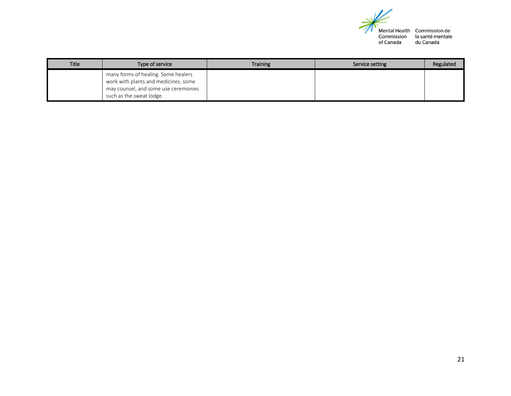

Mental Health Commission de<br>Commission la santé mentale<br>of Canada du Canada

| <b>Title</b> | Type of service                                                                                                                                 | <b>Training</b> | Service setting | Regulated |
|--------------|-------------------------------------------------------------------------------------------------------------------------------------------------|-----------------|-----------------|-----------|
|              | many forms of healing. Some healers<br>work with plants and medicines, some<br>may counsel, and some use ceremonies<br>such as the sweat lodge. |                 |                 |           |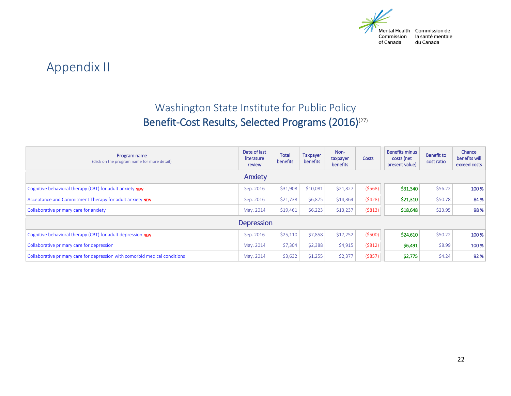

### Appendix II

### Washington State Institute for Public Policy Benefit-Cost Results, Selected Programs (2016)<sup>(27)</sup>

<span id="page-21-0"></span>

| Program name<br>(click on the program name for more detail)                | Date of last<br>literature<br>review | <b>Total</b><br>benefits | <b>Taxpayer</b><br>benefits | Non-<br>taxpayer<br>benefits | <b>Costs</b> | <b>Benefits minus</b><br>costs (net<br>present value) | <b>Benefit to</b><br>cost ratio | Chance<br>benefits will<br>exceed costs |
|----------------------------------------------------------------------------|--------------------------------------|--------------------------|-----------------------------|------------------------------|--------------|-------------------------------------------------------|---------------------------------|-----------------------------------------|
|                                                                            | Anxiety                              |                          |                             |                              |              |                                                       |                                 |                                         |
| Cognitive behavioral therapy (CBT) for adult anxiety NEW                   | Sep. 2016                            | \$31,908                 | \$10,081                    | \$21,827                     | (5568)       | \$31,340                                              | \$56.22                         | 100 %                                   |
| Acceptance and Commitment Therapy for adult anxiety NEW                    | Sep. 2016                            | \$21,738                 | \$6,875                     | \$14,864                     | (5428)       | \$21,310                                              | \$50.78                         | 84 %                                    |
| Collaborative primary care for anxiety                                     | May. 2014                            | \$19,461                 | \$6,223                     | \$13,237                     | (5813)       | \$18,648                                              | \$23.95                         | 98%                                     |
| <b>Depression</b>                                                          |                                      |                          |                             |                              |              |                                                       |                                 |                                         |
| Cognitive behavioral therapy (CBT) for adult depression NEW                | Sep. 2016                            | \$25,110                 | \$7,858                     | \$17,252                     | (5500)       | \$24,610                                              | \$50.22                         | 100 %                                   |
| Collaborative primary care for depression                                  | May. 2014                            | \$7,304                  | \$2,388                     | \$4,915                      | (5812)       | \$6,491                                               | \$8.99                          | 100 %                                   |
| Collaborative primary care for depression with comorbid medical conditions | May. 2014                            | \$3,632                  | \$1,255                     | \$2,377                      | $($ \$857)   | \$2,775                                               | \$4.24                          | 92%                                     |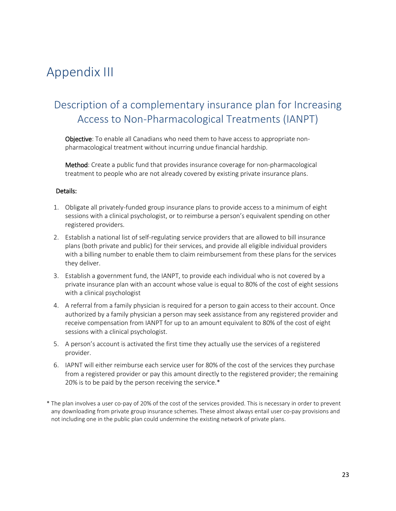### <span id="page-22-0"></span>Appendix III

#### Description of a complementary insurance plan for Increasing Access to Non-Pharmacological Treatments (IANPT)

Objective: To enable all Canadians who need them to have access to appropriate nonpharmacological treatment without incurring undue financial hardship.

Method: Create a public fund that provides insurance coverage for non-pharmacological treatment to people who are not already covered by existing private insurance plans.

#### Details:

- 1. Obligate all privately-funded group insurance plans to provide access to a minimum of eight sessions with a clinical psychologist, or to reimburse a person's equivalent spending on other registered providers.
- 2. Establish a national list of self-regulating service providers that are allowed to bill insurance plans (both private and public) for their services, and provide all eligible individual providers with a billing number to enable them to claim reimbursement from these plans for the services they deliver.
- 3. Establish a government fund, the IANPT, to provide each individual who is not covered by a private insurance plan with an account whose value is equal to 80% of the cost of eight sessions with a clinical psychologist
- 4. A referral from a family physician is required for a person to gain access to their account. Once authorized by a family physician a person may seek assistance from any registered provider and receive compensation from IANPT for up to an amount equivalent to 80% of the cost of eight sessions with a clinical psychologist.
- 5. A person's account is activated the first time they actually use the services of a registered provider.
- 6. IAPNT will either reimburse each service user for 80% of the cost of the services they purchase from a registered provider or pay this amount directly to the registered provider; the remaining 20% is to be paid by the person receiving the service.\*
- \* The plan involves a user co-pay of 20% of the cost of the services provided. This is necessary in order to prevent any downloading from private group insurance schemes. These almost always entail user co-pay provisions and not including one in the public plan could undermine the existing network of private plans.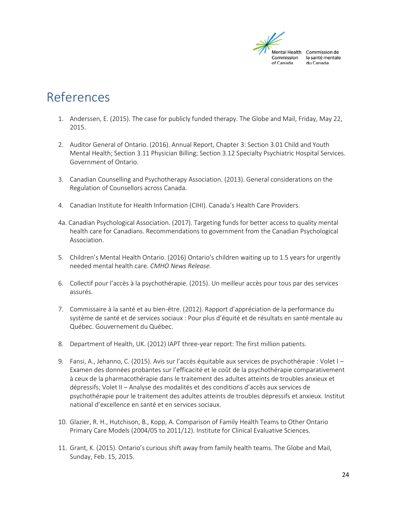

### <span id="page-23-0"></span>References

- 1. Anderssen, E. (2015). The case for publicly funded therapy. The Globe and Mail, Friday, May 22, 2015.
- 2. Auditor General of Ontario. (2016). Annual Report, Chapter 3: Section 3.01 Child and Youth Mental Health; Section 3.11 Physician Billing; Section 3.12 Specialty Psychiatric Hospital Services. Government of Ontario.
- 3. Canadian Counselling and Psychotherapy Association. (2013). General considerations on the Regulation of Counsellors across Canada.
- 4. Canadian Institute for Health Information (CIHI). Canada's Health Care Providers.
- 4a. Canadian Psychological Association. (2017). Targeting funds for better access to quality mental health care for Canadians. Recommendations to government from the Canadian Psychological Association.
- 5. Children's Mental Health Ontario. (2016) Ontario's children waiting up to 1.5 years for urgently needed mental health care. *CMHO News Release.*
- 6. Collectif pour l'accès à la psychothérapie. (2015). Un meilleur accès pour tous par des services assurés.
- 7. Commissaire à la santé et au bien-être. (2012). Rapport d'appréciation de la performance du système de santé et de services sociaux : Pour plus d'équité et de résultats en santé mentale au Québec. Gouvernement du Québec.
- 8. Department of Health, UK. (2012) IAPT three-year report: The first million patients.
- 9. Fansi, A., Jehanno, C. (2015). Avis sur l'accès équitable aux services de psychothérapie : Volet I Examen des données probantes sur l'efficacité et le coût de la psychothérapie comparativement à ceux de la pharmacothérapie dans le traitement des adultes atteints de troubles anxieux et dépressifs; Volet II – Analyse des modalités et des conditions d'accès aux services de psychothérapie pour le traitement des adultes atteints de troubles dépressifs et anxieux. Institut national d'excellence en santé et en services sociaux.
- 10. Glazier, R. H., Hutchison, B., Kopp, A. Comparison of Family Health Teams to Other Ontario Primary Care Models (2004/05 to 2011/12). Institute for Clinical Evaluative Sciences.
- 11. Grant, K. (2015). Ontario's curious shift away from family health teams. The Globe and Mail, Sunday, Feb. 15, 2015.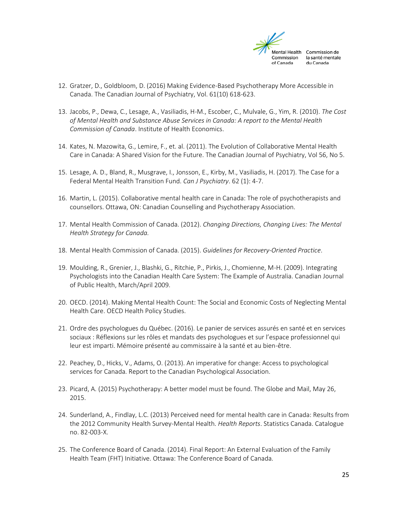

- 12. Gratzer, D., Goldbloom, D. (2016) Making Evidence-Based Psychotherapy More Accessible in Canada. The Canadian Journal of Psychiatry, Vol. 61(10) 618-623.
- 13. Jacobs, P., Dewa, C., Lesage, A., Vasiliadis, H-M., Escober, C., Mulvale, G., Yim, R. (2010). *The Cost of Mental Health and Substance Abuse Services in Canada: A report to the Mental Health Commission of Canada*. Institute of Health Economics.
- 14. Kates, N. Mazowita, G., Lemire, F., et. al. (2011). The Evolution of Collaborative Mental Health Care in Canada: A Shared Vision for the Future. The Canadian Journal of Psychiatry, Vol 56, No 5.
- 15. Lesage, A. D., Bland, R., Musgrave, I., Jonsson, E., Kirby, M., Vasiliadis, H. (2017). The Case for a Federal Mental Health Transition Fund. *Can J Psychiatry*. 62 (1): 4-7.
- 16. Martin, L. (2015). Collaborative mental health care in Canada: The role of psychotherapists and counsellors. Ottawa, ON: Canadian Counselling and Psychotherapy Association.
- 17. Mental Health Commission of Canada. (2012). *Changing Directions, Changing Lives: The Mental Health Strategy for Canada.*
- 18. Mental Health Commission of Canada. (2015). *Guidelines for Recovery-Oriented Practice*.
- 19. Moulding, R., Grenier, J., Blashki, G., Ritchie, P., Pirkis, J., Chomienne, M-H. (2009). Integrating Psychologists into the Canadian Health Care System: The Example of Australia. Canadian Journal of Public Health, March/April 2009.
- 20. OECD. (2014). Making Mental Health Count: The Social and Economic Costs of Neglecting Mental Health Care. OECD Health Policy Studies.
- 21. Ordre des psychologues du Québec. (2016). Le panier de services assurés en santé et en services sociaux : Réflexions sur les rôles et mandats des psychologues et sur l'espace professionnel qui leur est imparti. Mémoire présenté au commissaire à la santé et au bien-être.
- 22. Peachey, D., Hicks, V., Adams, O. (2013). An imperative for change: Access to psychological services for Canada. Report to the Canadian Psychological Association.
- 23. Picard, A. (2015) Psychotherapy: A better model must be found. The Globe and Mail, May 26, 2015.
- 24. Sunderland, A., Findlay, L.C. (2013) Perceived need for mental health care in Canada: Results from the 2012 Community Health Survey-Mental Health. *Health Reports*. Statistics Canada. Catalogue no. 82-003-X.
- 25. The Conference Board of Canada. (2014). Final Report: An External Evaluation of the Family Health Team (FHT) Initiative. Ottawa: The Conference Board of Canada.